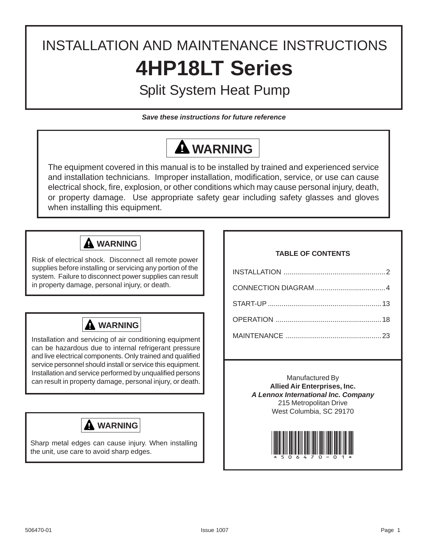# INSTALLATION AND MAINTENANCE INSTRUCTIONS **4HP18LT Series**

## Split System Heat Pump

*Save these instructions for future reference*

# **WARNING**

The equipment covered in this manual is to be installed by trained and experienced service and installation technicians. Improper installation, modification, service, or use can cause electrical shock, fire, explosion, or other conditions which may cause personal injury, death, or property damage. Use appropriate safety gear including safety glasses and gloves when installing this equipment.



Risk of electrical shock. Disconnect all remote power supplies before installing or servicing any portion of the system. Failure to disconnect power supplies can result in property damage, personal injury, or death.



Installation and servicing of air conditioning equipment can be hazardous due to internal refrigerant pressure and live electrical components. Only trained and qualified service personnel should install or service this equipment. Installation and service performed by unqualified persons can result in property damage, personal injury, or death.



Sharp metal edges can cause injury. When installing the unit, use care to avoid sharp edges.

### **TABLE OF CONTENTS**

Manufactured By **Allied Air Enterprises, Inc.** *A Lennox International Inc. Company* 215 Metropolitan Drive West Columbia, SC 29170

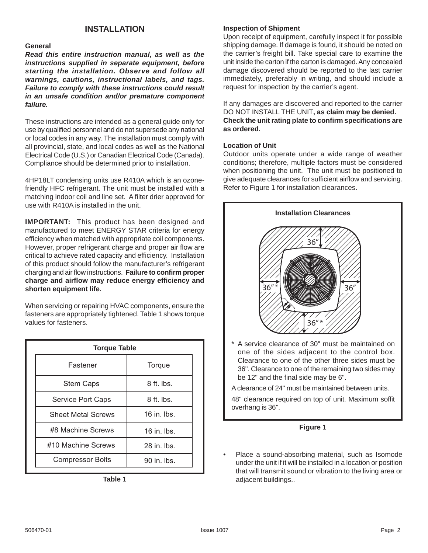**General**

*Read this entire instruction manual, as well as the instructions supplied in separate equipment, before starting the installation. Observe and follow all warnings, cautions, instructional labels, and tags. Failure to comply with these instructions could result in an unsafe condition and/or premature component failure.*

These instructions are intended as a general guide only for use by qualified personnel and do not supersede any national or local codes in any way. The installation must comply with all provincial, state, and local codes as well as the National Electrical Code (U.S.) or Canadian Electrical Code (Canada). Compliance should be determined prior to installation.

4HP18LT condensing units use R410A which is an ozonefriendly HFC refrigerant. The unit must be installed with a matching indoor coil and line set. A filter drier approved for use with R410A is installed in the unit.

**IMPORTANT:** This product has been designed and manufactured to meet ENERGY STAR criteria for energy efficiency when matched with appropriate coil components. However, proper refrigerant charge and proper air flow are critical to achieve rated capacity and efficiency. Installation of this product should follow the manufacturer's refrigerant charging and air flow instructions. **Failure to confirm proper charge and airflow may reduce energy efficiency and shorten equipment life.**

When servicing or repairing HVAC components, ensure the fasteners are appropriately tightened. Table 1 shows torque values for fasteners.

| <b>Torque Table</b>       |                    |  |  |  |  |  |
|---------------------------|--------------------|--|--|--|--|--|
| Fastener                  | Torque             |  |  |  |  |  |
| <b>Stem Caps</b>          | $8$ ft. lbs.       |  |  |  |  |  |
| Service Port Caps         | $8$ ft. lbs.       |  |  |  |  |  |
| <b>Sheet Metal Screws</b> | $16$ in $\mu$ lbs. |  |  |  |  |  |
| #8 Machine Screws         | $16$ in $\mu$ lbs. |  |  |  |  |  |
| #10 Machine Screws        | $28$ in $\mu$ lbs. |  |  |  |  |  |
| <b>Compressor Bolts</b>   | 90 in. lbs.        |  |  |  |  |  |

**Table 1**

#### **INSTALLATION Inspection of Shipment**

Upon receipt of equipment, carefully inspect it for possible shipping damage. If damage is found, it should be noted on the carrier's freight bill. Take special care to examine the unit inside the carton if the carton is damaged. Any concealed damage discovered should be reported to the last carrier immediately, preferably in writing, and should include a request for inspection by the carrier's agent.

If any damages are discovered and reported to the carrier DO NOT INSTALL THE UNIT**, as claim may be denied. Check the unit rating plate to confirm specifications are as ordered.**

### **Location of Unit**

Outdoor units operate under a wide range of weather conditions; therefore, multiple factors must be considered when positioning the unit. The unit must be positioned to give adequate clearances for sufficient airflow and servicing. Refer to Figure 1 for installation clearances.



A service clearance of 30" must be maintained on one of the sides adjacent to the control box. Clearance to one of the other three sides must be 36". Clearance to one of the remaining two sides may be 12" and the final side may be 6".

A clearance of 24" must be maintained between units.

48" clearance required on top of unit. Maximum soffit overhang is 36".

### **Figure 1**

Place a sound-absorbing material, such as Isomode under the unit if it will be installed in a location or position that will transmit sound or vibration to the living area or adjacent buildings..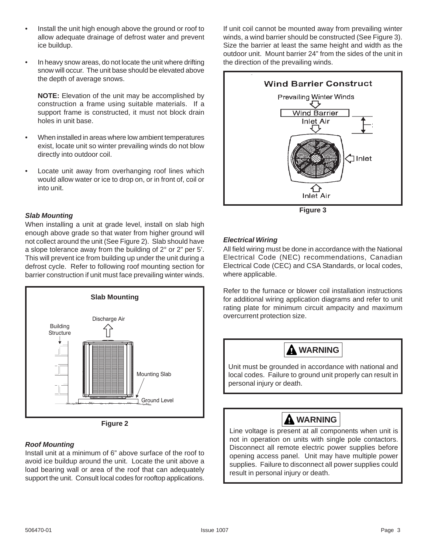- Install the unit high enough above the ground or roof to allow adequate drainage of defrost water and prevent ice buildup.
- In heavy snow areas, do not locate the unit where drifting snow will occur. The unit base should be elevated above the depth of average snows.

**NOTE:** Elevation of the unit may be accomplished by construction a frame using suitable materials. If a support frame is constructed, it must not block drain holes in unit base.

- When installed in areas where low ambient temperatures exist, locate unit so winter prevailing winds do not blow directly into outdoor coil.
- Locate unit away from overhanging roof lines which would allow water or ice to drop on, or in front of, coil or into unit.

### *Slab Mounting*

When installing a unit at grade level, install on slab high enough above grade so that water from higher ground will not collect around the unit (See Figure 2). Slab should have a slope tolerance away from the building of 2° or 2" per 5'. This will prevent ice from building up under the unit during a defrost cycle. Refer to following roof mounting section for barrier construction if unit must face prevailing winter winds.





### *Roof Mounting*

Install unit at a minimum of 6" above surface of the roof to avoid ice buildup around the unit. Locate the unit above a load bearing wall or area of the roof that can adequately support the unit. Consult local codes for rooftop applications.

If unit coil cannot be mounted away from prevailing winter winds, a wind barrier should be constructed (See Figure 3). Size the barrier at least the same height and width as the outdoor unit. Mount barrier 24" from the sides of the unit in the direction of the prevailing winds.



**Figure 3**

### *Electrical Wiring*

All field wiring must be done in accordance with the National Electrical Code (NEC) recommendations, Canadian Electrical Code (CEC) and CSA Standards, or local codes, where applicable.

Refer to the furnace or blower coil installation instructions for additional wiring application diagrams and refer to unit rating plate for minimum circuit ampacity and maximum overcurrent protection size.



Line voltage is present at all components when unit is not in operation on units with single pole contactors. Disconnect all remote electric power supplies before opening access panel. Unit may have multiple power supplies. Failure to disconnect all power supplies could result in personal injury or death.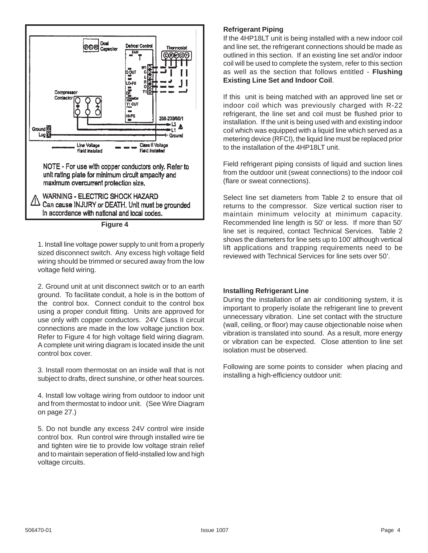

1. Install line voltage power supply to unit from a properly sized disconnect switch. Any excess high voltage field wiring should be trimmed or secured away from the low voltage field wiring.

2. Ground unit at unit disconnect switch or to an earth ground. To facilitate conduit, a hole is in the bottom of the control box. Connect conduit to the control box using a proper conduit fitting. Units are approved for use only with copper conductors. 24V Class II circuit connections are made in the low voltage junction box. Refer to Figure 4 for high voltage field wiring diagram. A complete unit wiring diagram is located inside the unit control box cover.

3. Install room thermostat on an inside wall that is not subject to drafts, direct sunshine, or other heat sources.

4. Install low voltage wiring from outdoor to indoor unit and from thermostat to indoor unit. (See Wire Diagram on page 27.)

5. Do not bundle any excess 24V control wire inside control box. Run control wire through installed wire tie and tighten wire tie to provide low voltage strain relief and to maintain seperation of field-installed low and high voltage circuits.

### **Refrigerant Piping**

If the 4HP18LT unit is being installed with a new indoor coil and line set, the refrigerant connections should be made as outlined in this section. If an existing line set and/or indoor coil will be used to complete the system, refer to this section as well as the section that follows entitled - **Flushing Existing Line Set and Indoor Coil**.

If this unit is being matched with an approved line set or indoor coil which was previously charged with R-22 refrigerant, the line set and coil must be flushed prior to installation. If the unit is being used with and existing indoor coil which was equipped with a liquid line which served as a metering device (RFCI), the liquid line must be replaced prior to the installation of the 4HP18LT unit.

Field refrigerant piping consists of liquid and suction lines from the outdoor unit (sweat connections) to the indoor coil (flare or sweat connections).

Select line set diameters from Table 2 to ensure that oil returns to the compressor. Size vertical suction riser to maintain minimum velocity at minimum capacity. Recommended line length is 50' or less. If more than 50' line set is required, contact Technical Services. Table 2 shows the diameters for line sets up to 100' although vertical lift applications and trapping requirements need to be reviewed with Technical Services for line sets over 50'.

### **Installing Refrigerant Line**

During the installation of an air conditioning system, it is important to properly isolate the refrigerant line to prevent unnecessary vibration. Line set contact with the structure (wall, ceiling, or floor) may cause objectionable noise when vibration is translated into sound. As a result, more energy or vibration can be expected. Close attention to line set isolation must be observed.

Following are some points to consider when placing and installing a high-efficiency outdoor unit: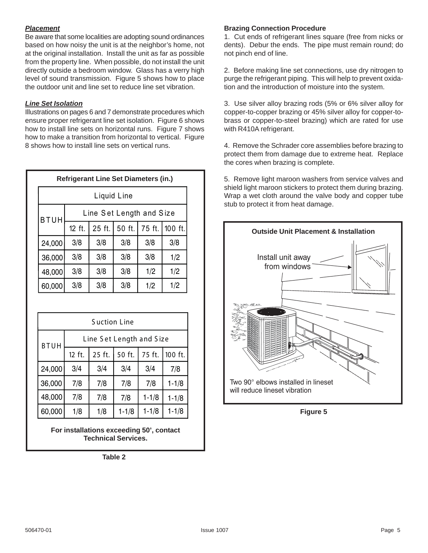### *Placement*

Be aware that some localities are adopting sound ordinances based on how noisy the unit is at the neighbor's home, not at the original installation. Install the unit as far as possible from the property line. When possible, do not install the unit directly outside a bedroom window. Glass has a verry high level of sound transmission. Figure 5 shows how to place the outdoor unit and line set to reduce line set vibration.

### *Line Set Isolation*

Illustrations on pages 6 and 7 demonstrate procedures which ensure proper refrigerant line set isolation. Figure 6 shows how to install line sets on horizontal runs. Figure 7 shows how to make a transition from horizontal to vertical. Figure 8 shows how to install line sets on vertical runs.

| <b>Refrigerant Line Set Diameters (in.)</b> |                          |        |        |        |         |  |  |  |  |
|---------------------------------------------|--------------------------|--------|--------|--------|---------|--|--|--|--|
|                                             | Liquid Line              |        |        |        |         |  |  |  |  |
| <b>BTUH</b>                                 | Line Set Length and Size |        |        |        |         |  |  |  |  |
|                                             | 12 ft.                   | 25 ft. | 50 ft. | 75 ft. | 100 ft. |  |  |  |  |
| 24,000                                      | 3/8                      | 3/8    | 3/8    | 3/8    | 3/8     |  |  |  |  |
| 36,000                                      | 3/8                      | 3/8    | 3/8    | 3/8    | 1/2     |  |  |  |  |
| 48,000                                      | 3/8                      | 3/8    | 3/8    | 1/2    | 1/2     |  |  |  |  |
| 60,000                                      | 3/8                      | 3/8    | 3/8    | 1/2    | 1/2     |  |  |  |  |

| <b>Suction Line</b>                     |        |        |           |           |           |  |  |  |
|-----------------------------------------|--------|--------|-----------|-----------|-----------|--|--|--|
| Line Set Length and Size<br><b>BTUH</b> |        |        |           |           |           |  |  |  |
|                                         | 12 ft. | 25 ft. | 50 ft.    | 75 ft.    | 100 ft.   |  |  |  |
| 24,000                                  | 3/4    | 3/4    | 3/4       | 3/4       | 7/8       |  |  |  |
| 36,000                                  | 7/8    | 7/8    | 7/8       | 7/8       | $1 - 1/8$ |  |  |  |
| 48,000                                  | 7/8    | 7/8    | 7/8       | $1 - 1/8$ | $1 - 1/8$ |  |  |  |
| 60,000                                  | 1/8    | 1/8    | $1 - 1/8$ | $1 - 1/8$ | $1 - 1/8$ |  |  |  |

**For installations exceeding 50', contact Technical Services.**

**Table 2**

### **Brazing Connection Procedure**

1. Cut ends of refrigerant lines square (free from nicks or dents). Debur the ends. The pipe must remain round; do not pinch end of line.

2. Before making line set connections, use dry nitrogen to purge the refrigerant piping. This will help to prevent oxidation and the introduction of moisture into the system.

3. Use silver alloy brazing rods (5% or 6% silver alloy for copper-to-copper brazing or 45% silver alloy for copper-tobrass or copper-to-steel brazing) which are rated for use with R410A refrigerant.

4. Remove the Schrader core assemblies before brazing to protect them from damage due to extreme heat. Replace the cores when brazing is complete.

5. Remove light maroon washers from service valves and shield light maroon stickers to protect them during brazing. Wrap a wet cloth around the valve body and copper tube stub to protect it from heat damage.



**Figure 5**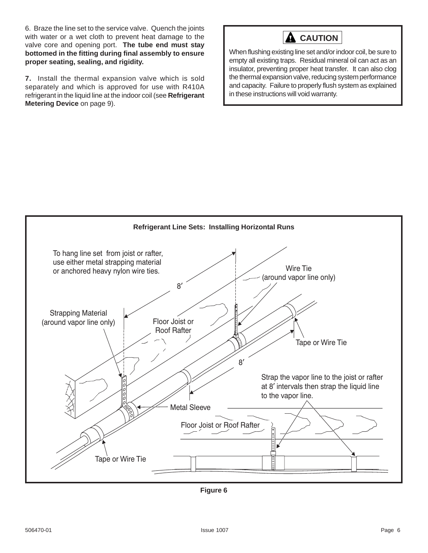6. Braze the line set to the service valve. Quench the joints with water or a wet cloth to prevent heat damage to the valve core and opening port. **The tube end must stay bottomed in the fitting during final assembly to ensure proper seating, sealing, and rigidity.**

**7.** Install the thermal expansion valve which is sold separately and which is approved for use with R410A refrigerant in the liquid line at the indoor coil (see **Refrigerant Metering Device** on page 9).

## **CAUTION**

When flushing existing line set and/or indoor coil, be sure to empty all existing traps. Residual mineral oil can act as an insulator, preventing proper heat transfer. It can also clog the thermal expansion valve, reducing system performance and capacity. Failure to properly flush system as explained in these instructions will void warranty.



**Figure 6**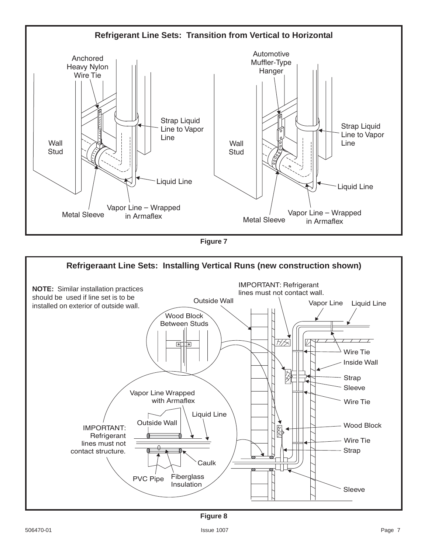



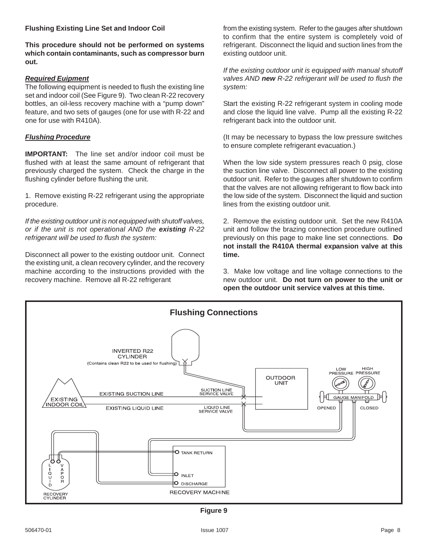### **Flushing Existing Line Set and Indoor Coil**

**This procedure should not be performed on systems which contain contaminants, such as compressor burn out.**

### *Required Euipment*

The following equipment is needed to flush the existing line set and indoor coil (See Figure 9). Two clean R-22 recovery bottles, an oil-less recovery machine with a "pump down" feature, and two sets of gauges (one for use with R-22 and one for use with R410A).

### *Flushing Procedure*

**IMPORTANT:** The line set and/or indoor coil must be flushed with at least the same amount of refrigerant that previously charged the system. Check the charge in the flushing cylinder before flushing the unit.

1. Remove existing R-22 refrigerant using the appropriate procedure.

*If the existing outdoor unit is not equipped with shutoff valves, or if the unit is not operational AND the existing R-22 refrigerant will be used to flush the system:*

Disconnect all power to the existing outdoor unit. Connect the existing unit, a clean recovery cylinder, and the recovery machine according to the instructions provided with the recovery machine. Remove all R-22 refrigerant

from the existing system. Refer to the gauges after shutdown to confirm that the entire system is completely void of refrigerant. Disconnect the liquid and suction lines from the existing outdoor unit.

*If the existing outdoor unit is equipped with manual shutoff valves AND new R-22 refrigerant will be used to flush the system:*

Start the existing R-22 refrigerant system in cooling mode and close the liquid line valve. Pump all the existing R-22 refrigerant back into the outdoor unit.

(It may be necessary to bypass the low pressure switches to ensure complete refrigerant evacuation.)

When the low side system pressures reach 0 psig, close the suction line valve. Disconnect all power to the existing outdoor unit. Refer to the gauges after shutdown to confirm that the valves are not allowing refrigerant to flow back into the low side of the system. Disconnect the liquid and suction lines from the existing outdoor unit.

2. Remove the existing outdoor unit. Set the new R410A unit and follow the brazing connection procedure outlined previously on this page to make line set connections. **Do not install the R410A thermal expansion valve at this time.**

3. Make low voltage and line voltage connections to the new outdoor unit. **Do not turn on power to the unit or open the outdoor unit service valves at this time.**



**Figure 9**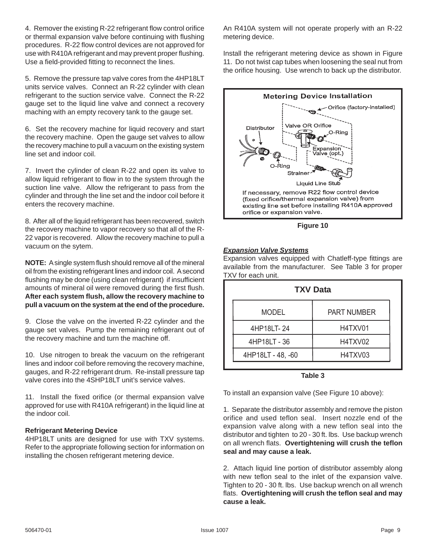4. Remover the existing R-22 refrigerant flow control orifice or thermal expansion valve before continuing with flushing procedures. R-22 flow control devices are not approved for use with R410A refrigerant and may prevent proper flushing. Use a field-provided fitting to reconnect the lines.

5. Remove the pressure tap valve cores from the 4HP18LT units service valves. Connect an R-22 cylinder with clean refrigerant to the suction service valve. Connect the R-22 gauge set to the liquid line valve and connect a recovery maching with an empty recovery tank to the gauge set.

6. Set the recovery machine for liquid recovery and start the recovery machine. Open the gauge set valves to allow the recovery machine to pull a vacuum on the existing system line set and indoor coil.

7. Invert the cylinder of clean R-22 and open its valve to allow liquid refrigerant to flow in to the system through the suction line valve. Allow the refrigerant to pass from the cylinder and through the line set and the indoor coil before it enters the recovery machine.

8. After all of the liquid refrigerant has been recovered, switch the recovery machine to vapor recovery so that all of the R-22 vapor is recovered. Allow the recovery machine to pull a vacuum on the sytem.

**NOTE:** A single system flush should remove all of the mineral oil from the existing refrigerant lines and indoor coil. A second flushing may be done (using clean refrigerant) if insufficient amounts of mineral oil were removed during the first flush. **After each system flush, allow the recovery machine to pull a vacuum on the system at the end of the procedure.**

9. Close the valve on the inverted R-22 cylinder and the gauge set valves. Pump the remaining refrigerant out of the recovery machine and turn the machine off.

10. Use nitrogen to break the vacuum on the refrigerant lines and indoor coil before removing the recovery machine, gauges, and R-22 refrigerant drum. Re-install pressure tap valve cores into the 4SHP18LT unit's service valves.

11. Install the fixed orifice (or thermal expansion valve approved for use with R410A refrigerant) in the liquid line at the indoor coil.

### **Refrigerant Metering Device**

4HP18LT units are designed for use with TXV systems. Refer to the appropriate following section for information on installing the chosen refrigerant metering device.

An R410A system will not operate properly with an R-22 metering device.

Install the refrigerant metering device as shown in Figure 11. Do not twist cap tubes when loosening the seal nut from the orifice housing. Use wrench to back up the distributor.



### *Expansion Valve Systems*

Expansion valves equipped with Chatleff-type fittings are available from the manufacturer. See Table 3 for proper TXV for each unit.

| <b>TXV Data</b>   |                    |  |  |  |  |  |
|-------------------|--------------------|--|--|--|--|--|
| <b>MODEL</b>      | <b>PART NUMBER</b> |  |  |  |  |  |
| 4HP18LT-24        | H4TXV01            |  |  |  |  |  |
| 4HP18LT - 36      | H4TXV02            |  |  |  |  |  |
| 4HP18LT - 48, -60 | H4TXV03            |  |  |  |  |  |
|                   |                    |  |  |  |  |  |

### **Table 3**

To install an expansion valve (See Figure 10 above):

1. Separate the distributor assembly and remove the piston orifice and used teflon seal. Insert nozzle end of the expansion valve along with a new teflon seal into the distributor and tighten to 20 - 30 ft. lbs. Use backup wrench on all wrench flats. **Overtightening will crush the teflon seal and may cause a leak.**

2. Attach liquid line portion of distributor assembly along with new teflon seal to the inlet of the expansion valve. Tighten to 20 - 30 ft. lbs. Use backup wrench on all wrench flats. **Overtightening will crush the teflon seal and may cause a leak.**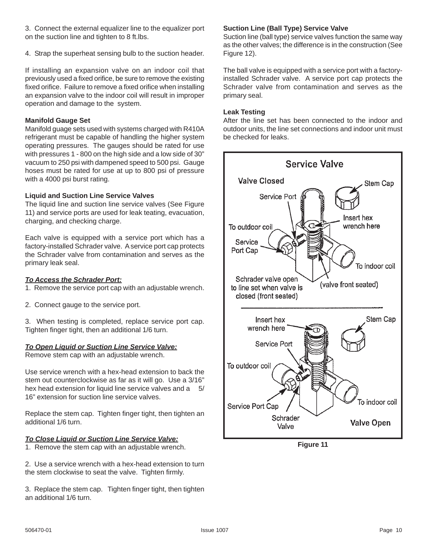3. Connect the external equalizer line to the equalizer port on the suction line and tighten to 8 ft.lbs.

4. Strap the superheat sensing bulb to the suction header.

If installing an expansion valve on an indoor coil that previously used a fixed orifice, be sure to remove the existing fixed orifice. Failure to remove a fixed orifice when installing an expansion valve to the indoor coil will result in improper operation and damage to the system.

### **Manifold Gauge Set**

Manifold guage sets used with systems charged with R410A refrigerant must be capable of handling the higher system operating pressures. The gauges should be rated for use with pressures 1 - 800 on the high side and a low side of 30" vacuum to 250 psi with dampened speed to 500 psi. Gauge hoses must be rated for use at up to 800 psi of pressure with a 4000 psi burst rating.

### **Liquid and Suction Line Service Valves**

The liquid line and suction line service valves (See Figure 11) and service ports are used for leak teating, evacuation, charging, and checking charge.

Each valve is equipped with a service port which has a factory-installed Schrader valve. A service port cap protects the Schrader valve from contamination and serves as the primary leak seal.

### *To Access the Schrader Port:*

1. Remove the service port cap with an adjustable wrench.

2. Connect gauge to the service port.

3. When testing is completed, replace service port cap. Tighten finger tight, then an additional 1/6 turn.

### *To Open Liquid or Suction Line Service Valve:*

Remove stem cap with an adjustable wrench.

Use service wrench with a hex-head extension to back the stem out counterclockwise as far as it will go. Use a 3/16" hex head extension for liquid line service valves and a 5/ 16" extension for suction line service valves.

Replace the stem cap. Tighten finger tight, then tighten an additional 1/6 turn.

### *To Close Liquid or Suction Line Service Valve:*

1. Remove the stem cap with an adjustable wrench.

2. Use a service wrench with a hex-head extension to turn the stem clockwise to seat the valve. Tighten firmly.

3. Replace the stem cap. Tighten finger tight, then tighten an additional 1/6 turn.

### **Suction Line (Ball Type) Service Valve**

Suction line (ball type) service valves function the same way as the other valves; the difference is in the construction (See Figure 12).

The ball valve is equipped with a service port with a factoryinstalled Schrader valve. A service port cap protects the Schrader valve from contamination and serves as the primary seal.

#### **Leak Testing**

After the line set has been connected to the indoor and outdoor units, the line set connections and indoor unit must be checked for leaks.



**Figure 11**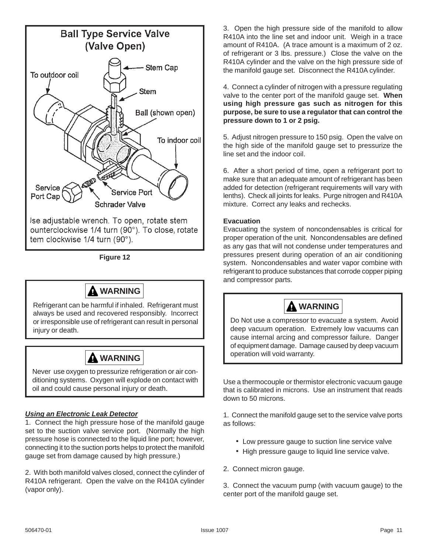

**Figure 12**



Refrigerant can be harmful if inhaled. Refrigerant must always be used and recovered responsibly. Incorrect or irresponsible use of refrigerant can result in personal injury or death.



Never use oxygen to pressurize refrigeration or air conditioning systems. Oxygen will explode on contact with oil and could cause personal injury or death.

### *Using an Electronic Leak Detector*

1. Connect the high pressure hose of the manifold gauge set to the suction valve service port. (Normally the high pressure hose is connected to the liquid line port; however, connecting it to the suction ports helps to protect the manifold gauge set from damage caused by high pressure.)

2. With both manifold valves closed, connect the cylinder of R410A refrigerant. Open the valve on the R410A cylinder (vapor only).

3. Open the high pressure side of the manifold to allow R410A into the line set and indoor unit. Weigh in a trace amount of R410A. (A trace amount is a maximum of 2 oz. of refrigerant or 3 lbs. pressure.) Close the valve on the R410A cylinder and the valve on the high pressure side of the manifold gauge set. Disconnect the R410A cylinder.

4. Connect a cylinder of nitrogen with a pressure regulating valve to the center port of the manifold gauge set. **When using high pressure gas such as nitrogen for this purpose, be sure to use a regulator that can control the pressure down to 1 or 2 psig.**

5. Adjust nitrogen pressure to 150 psig. Open the valve on the high side of the manifold gauge set to pressurize the line set and the indoor coil.

6. After a short period of time, open a refrigerant port to make sure that an adequate amount of refrigerant has been added for detection (refrigerant requirements will vary with lenths). Check all joints for leaks. Purge nitrogen and R410A mixture. Correct any leaks and rechecks.

### **Evacuation**

Evacuating the system of noncondensables is critical for proper operation of the unit. Noncondensables are defined as any gas that will not condense under temperatures and pressures present during operation of an air conditioning system. Noncondensables and water vapor combine with refrigerant to produce substances that corrode copper piping and compressor parts.

## **WARNING**

Do Not use a compressor to evacuate a system. Avoid deep vacuum operation. Extremely low vacuums can cause internal arcing and compressor failure. Danger of equipment damage. Damage caused by deep vacuum operation will void warranty.

Use a thermocouple or thermistor electronic vacuum gauge that is calibrated in microns. Use an instrument that reads down to 50 microns.

1. Connect the manifold gauge set to the service valve ports as follows:

- Low pressure gauge to suction line service valve
- High pressure gauge to liquid line service valve.
- 2. Connect micron gauge.

3. Connect the vacuum pump (with vacuum gauge) to the center port of the manifold gauge set.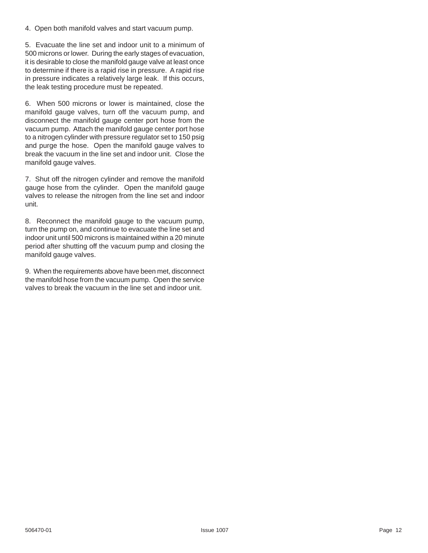4. Open both manifold valves and start vacuum pump.

5. Evacuate the line set and indoor unit to a minimum of 500 microns or lower. During the early stages of evacuation, it is desirable to close the manifold gauge valve at least once to determine if there is a rapid rise in pressure. A rapid rise in pressure indicates a relatively large leak. If this occurs, the leak testing procedure must be repeated.

6. When 500 microns or lower is maintained, close the manifold gauge valves, turn off the vacuum pump, and disconnect the manifold gauge center port hose from the vacuum pump. Attach the manifold gauge center port hose to a nitrogen cylinder with pressure regulator set to 150 psig and purge the hose. Open the manifold gauge valves to break the vacuum in the line set and indoor unit. Close the manifold gauge valves.

7. Shut off the nitrogen cylinder and remove the manifold gauge hose from the cylinder. Open the manifold gauge valves to release the nitrogen from the line set and indoor unit.

8. Reconnect the manifold gauge to the vacuum pump, turn the pump on, and continue to evacuate the line set and indoor unit until 500 microns is maintained within a 20 minute period after shutting off the vacuum pump and closing the manifold gauge valves.

9. When the requirements above have been met, disconnect the manifold hose from the vacuum pump. Open the service valves to break the vacuum in the line set and indoor unit.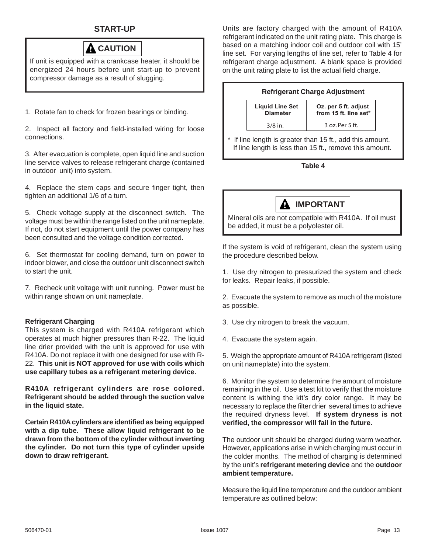### **START-UP**



If unit is equipped with a crankcase heater, it should be energized 24 hours before unit start-up to prevent compressor damage as a result of slugging.

1. Rotate fan to check for frozen bearings or binding.

2. Inspect all factory and field-installed wiring for loose connections.

3. After evacuation is complete, open liquid line and suction line service valves to release refrigerant charge (contained in outdoor unit) into system.

4. Replace the stem caps and secure finger tight, then tighten an additional 1/6 of a turn.

5. Check voltage supply at the disconnect switch. The voltage must be within the range listed on the unit nameplate. If not, do not start equipment until the power company has been consulted and the voltage condition corrected.

6. Set thermostat for cooling demand, turn on power to indoor blower, and close the outdoor unit disconnect switch to start the unit.

7. Recheck unit voltage with unit running. Power must be within range shown on unit nameplate.

### **Refrigerant Charging**

This system is charged with R410A refrigerant which operates at much higher pressures than R-22. The liquid line drier provided with the unit is approved for use with R410A. Do not replace it with one designed for use with R-22. **This unit is NOT approved for use with coils which use capillary tubes as a refrigerant metering device.**

**R410A refrigerant cylinders are rose colored. Refrigerant should be added through the suction valve in the liquid state.**

**Certain R410A cylinders are identified as being equipped with a dip tube. These allow liquid refrigerant to be drawn from the bottom of the cylinder without inverting the cylinder. Do not turn this type of cylinder upside down to draw refrigerant.**

Units are factory charged with the amount of R410A refrigerant indicated on the unit rating plate. This charge is based on a matching indoor coil and outdoor coil with 15' line set. For varying lengths of line set, refer to Table 4 for refrigerant charge adjustment. A blank space is provided on the unit rating plate to list the actual field charge.

|  | <b>Refrigerant Charge Adjustment</b> |
|--|--------------------------------------|
|  |                                      |

| <b>Liquid Line Set</b> | Oz. per 5 ft. adjust  |
|------------------------|-----------------------|
| <b>Diameter</b>        | from 15 ft. line set* |
| $3/8$ in.              | 3 oz. Per 5 ft.       |

If line length is greater than 15 ft., add this amount. If line length is less than 15 ft., remove this amount.

### **Table 4**



Mineral oils are not compatible with R410A. If oil must be added, it must be a polyolester oil.

If the system is void of refrigerant, clean the system using the procedure described below.

1. Use dry nitrogen to pressurized the system and check for leaks. Repair leaks, if possible.

2. Evacuate the system to remove as much of the moisture as possible.

3. Use dry nitrogen to break the vacuum.

4. Evacuate the system again.

5. Weigh the appropriate amount of R410A refrigerant (listed on unit nameplate) into the system.

6. Monitor the system to determine the amount of moisture remaining in the oil. Use a test kit to verify that the moisture content is withing the kit's dry color range. It may be necessary to replace the filter drier several times to achieve the required dryness level. **If system dryness is not verified, the compressor will fail in the future.**

The outdoor unit should be charged during warm weather. However, applications arise in which charging must occur in the colder months. The method of charging is determined by the unit's **refrigerant metering device** and the **outdoor ambient temperature.**

Measure the liquid line temperature and the outdoor ambient temperature as outlined below: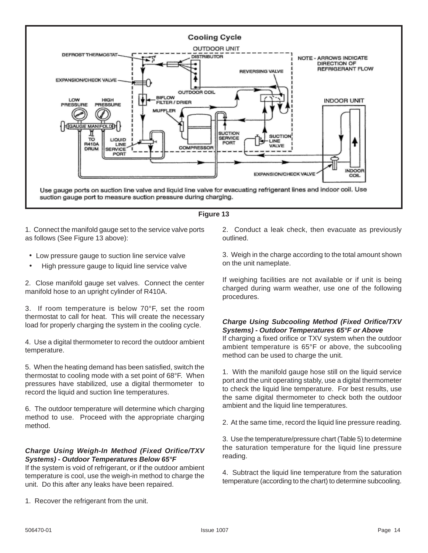

### **Figure 13**

1. Connect the manifold gauge set to the service valve ports as follows (See Figure 13 above):

- Low pressure gauge to suction line service valve
- High pressure gauge to liquid line service valve

2. Close manifold gauge set valves. Connect the center manifold hose to an upright cylinder of R410A.

3. If room temperature is below 70°F, set the room thermostat to call for heat. This will create the necessary load for properly charging the system in the cooling cycle.

4. Use a digital thermometer to record the outdoor ambient temperature.

5. When the heating demand has been satisfied, switch the thermostat to cooling mode with a set point of 68°F. When pressures have stabilized, use a digital thermometer to record the liquid and suction line temperatures.

6. The outdoor temperature will determine which charging method to use. Proceed with the appropriate charging method.

### *Charge Using Weigh-In Method (Fixed Orifice/TXV Systems) - Outdoor Temperatures Below 65°F*

If the system is void of refrigerant, or if the outdoor ambient temperature is cool, use the weigh-in method to charge the unit. Do this after any leaks have been repaired.

1. Recover the refrigerant from the unit.

2. Conduct a leak check, then evacuate as previously outlined.

3. Weigh in the charge according to the total amount shown on the unit nameplate.

If weighing facilities are not available or if unit is being charged during warm weather, use one of the following procedures.

### *Charge Using Subcooling Method (Fixed Orifice/TXV Systems) - Outdoor Temperatures 65°F or Above*

If charging a fixed orifice or TXV system when the outdoor ambient temperature is 65°F or above, the subcooling method can be used to charge the unit.

1. With the manifold gauge hose still on the liquid service port and the unit operating stably, use a digital thermometer to check the liquid line temperature. For best results, use the same digital thermometer to check both the outdoor ambient and the liquid line temperatures.

2. At the same time, record the liquid line pressure reading.

3. Use the temperature/pressure chart (Table 5) to determine the saturation temperature for the liquid line pressure reading.

4. Subtract the liquid line temperature from the saturation temperature (according to the chart) to determine subcooling.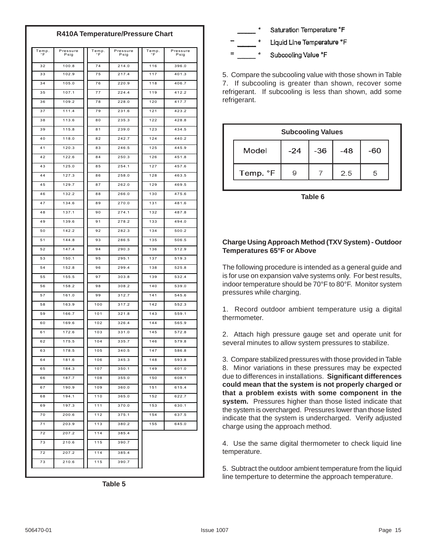### **R410A Temperature/Pressure Chart**

| Temp.<br>$\circ$ F | Pressure<br>Psig | Temp.<br>۰F | Pressure<br>Psig | Temp.<br>°F | Pressure<br>Psig |
|--------------------|------------------|-------------|------------------|-------------|------------------|
| 32                 | 100.8            | 74          | 214.0            | 116         | 396.0            |
| 33                 | 102.9            | 75          | 217.4            | 117         | 401.3            |
| 34                 | 105.0            | 76          | 220.9            | 118         | 406.7            |
| 35                 | 107.1            | 77          | 224.4            | 119         | 412.2            |
| 36                 | 109.2            | 78          | 228.0            | 120         | 417.7            |
| 37                 | 111.4            | 79          | 231.6            | 121         | 423.2            |
| 38                 | 113.6            | 80          | 235.3            | 122         | 428.8            |
| 39                 | 115.8            | 81          | 239.0            | 123         | 434.5            |
| 40                 | 118.0            | 82          | 242.7            | 124         | 440.2            |
| 41                 | 120.3            | 83          | 246.5            | 125         | 445.9            |
| 42                 | 122.6            | 84          | 250.3            | 126         | 451.8            |
| 43                 | 125.0            | 85          | 254.1            | 127         | 457.6            |
| 44                 | 127.3            | 86          | 258.0            | 128         | 463.5            |
| 45                 | 129.7            | 87          | 262.0            | 129         | 469.5            |
| 46                 | 132.2            | 88          | 266.0            | 130         | 475.6            |
| 47                 | 134.6            | 89          | 270.0            | 131         | 481.6            |
| 48                 | 137.1            | 90          | 274.1            | 132         | 487.8            |
| 49                 | 139.6            | 91          | 278.2            | 133         | 494.0            |
| 50                 | 142.2            | 92          | 282.3            | 134         | 500.2            |
| 51                 | 144.8            | 93          | 286.5            | 135         | 506.5            |
| 52                 | 147.4            | 94          | 290.3            | 136         | 512.9            |
| 53                 | 150.1            | 95          | 295.1            | 137         | 519.3            |
| 54                 | 152.8            | 96          | 299.4            | 138         | 525.8            |
| 55                 | 155.5            | 97          | 303.8            | 139         | 532.4            |
| 56                 | 158.2            | 98          | 308.2            | 140         | 539.0            |
| 57                 | 161.0            | 99          | 312.7            | 141         | 545.6            |
| 58                 | 163.9            | 100         | 317.2            | 142         | 552.3            |
| 59                 | 166.7            | 101         | 321.8            | 143         | 559.1            |
| 60                 | 169.6            | 102         | 326.4            | 144         | 565.9            |
| 61                 | 172.6            | 103         | 331.0            | 145         | 572.8            |
| 62                 | 175.5            | 104         | 335.7            | 146         | 579.8            |
| 63                 | 178.5            | 105         | 340.5            | 147         | 586.8            |
| 64                 | 181.6            | 106         | 345.3            | 148         | 593.8            |
| 65                 | 184.3            | 107         | 350.1            | 149         | 601.0            |
| 66                 | 187.7            | 108         | 355.0            | 150         | 608.1            |
| 67                 | 190.9            | 109         | 360.0            | 151         | 615.4            |
| 68                 | 194.1            | 110         | 365.0            | 152         | 622.7            |
| 69                 | 197.3            | 111         | 370.0            | 153         | 630.1            |
| 70                 | 200.6            | 112         | 375.1            | 154         | 637.5            |
| 71                 | 203.9            | 113         | 380.2            | 155         | 645.0            |
| 72                 | 207.2            | 114         | 385.4            |             |                  |
| 73                 | 210.6            | 115         | 390.7            |             |                  |
| 72                 | 207.2            | 114         | 385.4            |             |                  |
| 73                 | 210.6            | 115         | 390.7            |             |                  |





5. Compare the subcooling value with those shown in Table 7. If subcooling is greater than shown, recover some refrigerant. If subcooling is less than shown, add some refrigerant.

| <b>Subcooling Values</b> |       |       |       |     |  |  |  |  |
|--------------------------|-------|-------|-------|-----|--|--|--|--|
| Model                    | $-24$ | $-36$ | $-48$ | -60 |  |  |  |  |
| Temp. °F                 |       |       | 2.5   | 5   |  |  |  |  |

**Table 6**

### **Charge Using Approach Method (TXV System) - Outdoor Temperatures 65°F or Above**

The following procedure is intended as a general guide and is for use on expansion valve systems only. For best results, indoor temperature should be 70°F to 80°F. Monitor system pressures while charging.

1. Record outdoor ambient temperature usig a digital thermometer.

2. Attach high pressure gauge set and operate unit for several minutes to allow system pressures to stabilize.

3. Compare stabilized pressures with those provided in Table 8. Minor variations in these pressures may be expected due to differences in installations. **Significant differences could mean that the system is not properly charged or that a problem exists with some component in the system.** Pressures higher than those listed indicate that the system is overcharged. Pressures lower than those listed indicate that the system is undercharged. Verify adjusted charge using the approach method.

4. Use the same digital thermometer to check liquid line temperature.

5. Subtract the outdoor ambient temperature from the liquid line temperture to determine the approach temperature.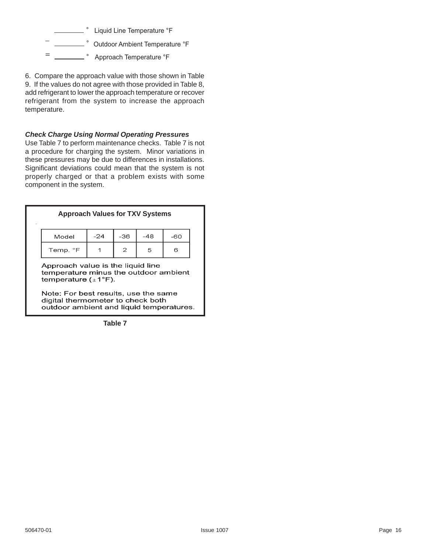

6. Compare the approach value with those shown in Table 9. If the values do not agree with those provided in Table 8, add refrigerant to lower the approach temperature or recover refrigerant from the system to increase the approach temperature.

### *Check Charge Using Normal Operating Pressures*

Use Table 7 to perform maintenance checks. Table 7 is not a procedure for charging the system. Minor variations in these pressures may be due to differences in installations. Significant deviations could mean that the system is not properly charged or that a problem exists with some component in the system.

| <b>Approach Values for TXV Systems</b> |       |       |       |     |  |  |
|----------------------------------------|-------|-------|-------|-----|--|--|
| Model                                  | $-24$ | $-36$ | $-48$ | -60 |  |  |
| $\mathbf{2}$<br>Temp. °F<br>5<br>6     |       |       |       |     |  |  |

Note: For best results, use the same digital thermometer to check both outdoor ambient and liquid temperatures.

**Table 7**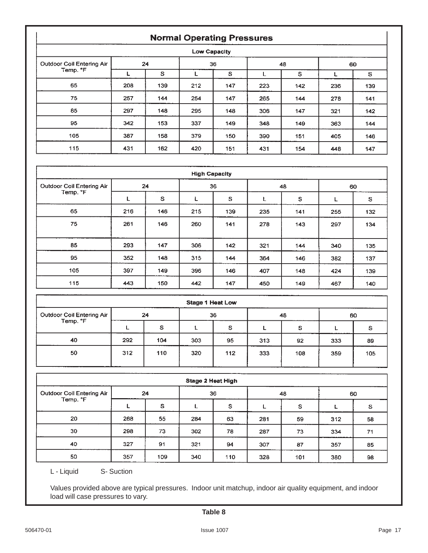### **Normal Operating Pressures**

| Low Capacity                     |     |              |     |     |     |     |     |     |  |
|----------------------------------|-----|--------------|-----|-----|-----|-----|-----|-----|--|
| <b>Outdoor Coil Entering Air</b> | 24  |              | 36  |     | 48  |     | 60  |     |  |
| Temp. °F                         |     | $\mathbf{s}$ |     | s   |     | s   |     | S   |  |
| 65                               | 208 | 139          | 212 | 147 | 223 | 142 | 236 | 139 |  |
| 75                               | 257 | 144          | 254 | 147 | 265 | 144 | 278 | 141 |  |
| 85                               | 297 | 148          | 295 | 148 | 306 | 147 | 321 | 142 |  |
| 95                               | 342 | 153          | 337 | 149 | 348 | 149 | 363 | 144 |  |
| 105                              | 387 | 158          | 379 | 150 | 390 | 151 | 405 | 146 |  |
| 115                              | 431 | 162          | 420 | 151 | 431 | 154 | 448 | 147 |  |

| <b>High Capacity</b>             |     |     |     |              |     |     |     |     |  |
|----------------------------------|-----|-----|-----|--------------|-----|-----|-----|-----|--|
| <b>Outdoor Coil Entering Air</b> | 24  |     | 36  |              | 48  |     | 60  |     |  |
| Temp. °F                         | L   | S   | L   | $\mathbf{s}$ | L   | s   | L   | S   |  |
| 65                               | 216 | 146 | 215 | 139          | 235 | 141 | 255 | 132 |  |
| 75                               | 261 | 146 | 260 | 141          | 278 | 143 | 297 | 134 |  |
| 85                               | 293 | 147 | 306 | 142          | 321 | 144 | 340 | 135 |  |
| 95                               | 352 | 148 | 315 | 144          | 364 | 146 | 382 | 137 |  |
| 105                              | 397 | 149 | 396 | 146          | 407 | 148 | 424 | 139 |  |
| 115                              | 443 | 150 | 442 | 147          | 450 | 149 | 467 | 140 |  |

| <b>Stage 1 Heat Low</b>               |     |     |     |     |     |     |     |          |
|---------------------------------------|-----|-----|-----|-----|-----|-----|-----|----------|
| Outdoor Coil Entering Air<br>Temp. °F | 24  |     | 36  |     | 48  |     | 60  |          |
|                                       |     | s   |     | s   |     | s   |     | <b>S</b> |
| 40                                    | 292 | 104 | 303 | 95  | 313 | 92  | 333 | 89       |
| 50                                    | 312 | 110 | 320 | 112 | 333 | 108 | 359 | 105      |

| <b>Stage 2 Heat High</b>                     |     |     |     |     |     |     |     |    |
|----------------------------------------------|-----|-----|-----|-----|-----|-----|-----|----|
| <b>Outdoor Coil Entering Air</b><br>Temp. °F | 24  |     | 36  |     | 48  |     | 60  |    |
|                                              |     | s   |     | s   |     | S   |     | S  |
| 20                                           | 268 | 55  | 284 | 63  | 281 | 59  | 312 | 58 |
| 30                                           | 298 | 73  | 302 | 78  | 287 | 73  | 334 | 71 |
| 40                                           | 327 | 91  | 321 | 94  | 307 | 87  | 357 | 85 |
| 50                                           | 357 | 109 | 340 | 110 | 328 | 101 | 380 | 98 |

L - Liquid S- Suction

Values provided above are typical pressures. Indoor unit matchup, indoor air quality equipment, and indoor load will case pressures to vary.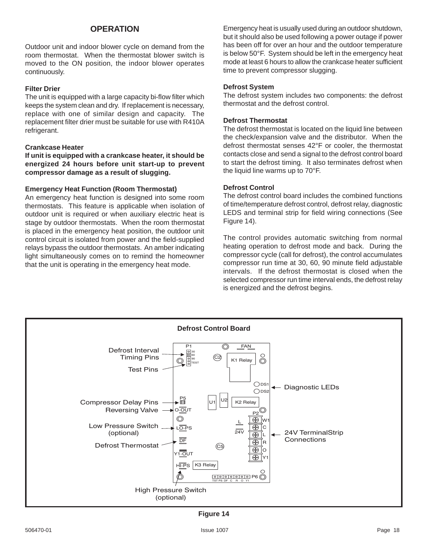### **OPERATION**

Outdoor unit and indoor blower cycle on demand from the room thermostat. When the thermostat blower switch is moved to the ON position, the indoor blower operates continuously.

### **Filter Drier**

The unit is equipped with a large capacity bi-flow filter which keeps the system clean and dry. If replacement is necessary, replace with one of similar design and capacity. The replacement filter drier must be suitable for use with R410A refrigerant.

#### **Crankcase Heater**

**If unit is equipped with a crankcase heater, it should be energized 24 hours before unit start-up to prevent compressor damage as a result of slugging.**

### **Emergency Heat Function (Room Thermostat)**

An emergency heat function is designed into some room thermostats. This feature is applicable when isolation of outdoor unit is required or when auxiliary electric heat is stage by outdoor thermostats. When the room thermostat is placed in the emergency heat position, the outdoor unit control circuit is isolated from power and the field-supplied relays bypass the outdoor thermostats. An amber indicating light simultaneously comes on to remind the homeowner that the unit is operating in the emergency heat mode.

Emergency heat is usually used during an outdoor shutdown, but it should also be used following a power outage if power has been off for over an hour and the outdoor temperature is below 50°F. System should be left in the emergency heat mode at least 6 hours to allow the crankcase heater sufficient time to prevent compressor slugging.

#### **Defrost System**

The defrost system includes two components: the defrost thermostat and the defrost control.

### **Defrost Thermostat**

The defrost thermostat is located on the liquid line between the check/expansion valve and the distributor. When the defrost thermostat senses 42°F or cooler, the thermostat contacts close and send a signal to the defrost control board to start the defrost timing. It also terminates defrost when the liquid line warms up to 70°F.

### **Defrost Control**

The defrost control board includes the combined functions of time/temperature defrost control, defrost relay, diagnostic LEDS and terminal strip for field wiring connections (See Figure 14).

The control provides automatic switching from normal heating operation to defrost mode and back. During the compressor cycle (call for defrost), the control accumulates compressor run time at 30, 60, 90 minute field adjustable intervals. If the defrost thermostat is closed when the selected compressor run time interval ends, the defrost relay is energized and the defrost begins.



**Figure 14**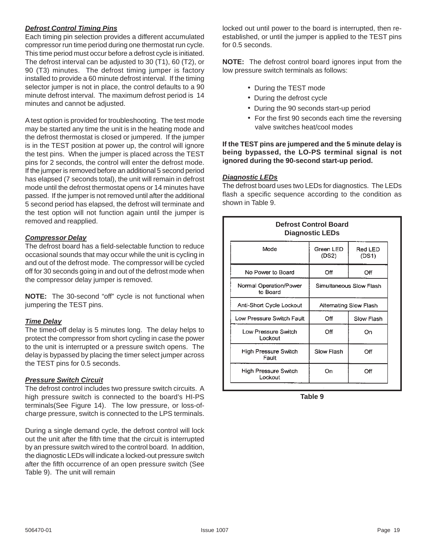### *Defrost Control Timing Pins*

Each timing pin selection provides a different accumulated compressor run time period during one thermostat run cycle. This time period must occur before a defrost cycle is initiated. The defrost interval can be adjusted to 30 (T1), 60 (T2), or 90 (T3) minutes. The defrost timing jumper is factory installed to provide a 60 minute defrost interval. If the timing selector jumper is not in place, the control defaults to a 90 minute defrost interval. The maximum defrost period is 14 minutes and cannot be adjusted.

A test option is provided for troubleshooting. The test mode may be started any time the unit is in the heating mode and the defrost thermostat is closed or jumpered. If the jumper is in the TEST position at power up, the control will ignore the test pins. When the jumper is placed across the TEST pins for 2 seconds, the control will enter the defrost mode. If the jumper is removed before an additional 5 second period has elapsed (7 seconds total), the unit will remain in defrost mode until the defrost thermostat opens or 14 minutes have passed. If the jumper is not removed until after the additional 5 second period has elapsed, the defrost will terminate and the test option will not function again until the jumper is removed and reapplied.

### *Compressor Delay*

The defrost board has a field-selectable function to reduce occasional sounds that may occur while the unit is cycling in and out of the defrost mode. The compressor will be cycled off for 30 seconds going in and out of the defrost mode when the compressor delay jumper is removed.

**NOTE:** The 30-second "off" cycle is not functional when jumpering the TEST pins.

### *Time Delay*

The timed-off delay is 5 minutes long. The delay helps to protect the compressor from short cycling in case the power to the unit is interrupted or a pressure switch opens. The delay is bypassed by placing the timer select jumper across the TEST pins for 0.5 seconds.

### *Pressure Switch Circuit*

The defrost control includes two pressure switch circuits. A high pressure switch is connected to the board's HI-PS terminals(See Figure 14). The low pressure, or loss-ofcharge pressure, switch is connected to the LPS terminals.

During a single demand cycle, the defrost control will lock out the unit after the fifth time that the circuit is interrupted by an pressure switch wired to the control board. In addition, the diagnostic LEDs will indicate a locked-out pressure switch after the fifth occurrence of an open pressure switch (See Table 9). The unit will remain

locked out until power to the board is interrupted, then reestablished, or until the jumper is applied to the TEST pins for 0.5 seconds.

**NOTE:** The defrost control board ignores input from the low pressure switch terminals as follows:

- During the TEST mode
- During the defrost cycle
- During the 90 seconds start-up period
- For the first 90 seconds each time the reversing valve switches heat/cool modes

### **If the TEST pins are jumpered and the 5 minute delay is being bypassed, the LO-PS terminal signal is not ignored during the 90-second start-up period.**

### *Diagnostic LEDs*

The defrost board uses two LEDs for diagnostics. The LEDs flash a specific sequence according to the condition as shown in Table 9.

| <b>Defrost Control Board</b><br><b>Diagnostic LEDs</b>        |                        |                  |  |  |
|---------------------------------------------------------------|------------------------|------------------|--|--|
| Mode                                                          | Green LED<br>(DS2)     | Red LED<br>(DS1) |  |  |
| No Power to Board                                             | Off                    | Off              |  |  |
| Normal Operation/Power<br>Simultaneous Slow Flash<br>to Board |                        |                  |  |  |
| Anti-Short Cycle Lockout                                      | Alternating Slow Flash |                  |  |  |
| Low Pressure Switch Fault                                     | Off                    | Slow Flash       |  |  |
| Low Pressure Switch<br>Lockout                                | Off                    | On               |  |  |
| <b>High Pressure Switch</b><br>Fault                          | Slow Flash             | Off              |  |  |
| <b>High Pressure Switch</b><br>Lockout                        | Оn                     | Ōff              |  |  |

**Table 9**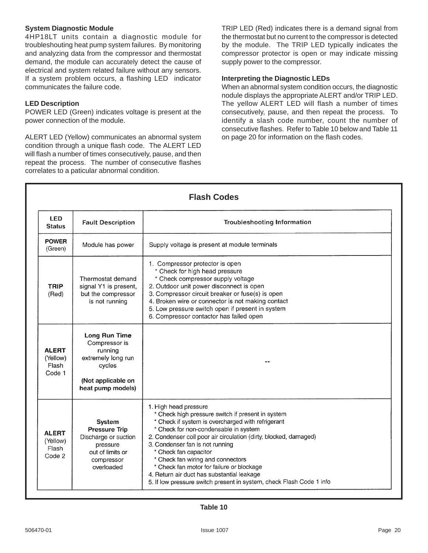### **System Diagnostic Module**

4HP18LT units contain a diagnostic module for troubleshouting heat pump system failures. By monitoring and analyzing data from the compressor and thermostat demand, the module can accurately detect the cause of electrical and system related failure without any sensors. If a system problem occurs, a flashing LED indicator communicates the failure code.

### **LED Description**

POWER LED (Green) indicates voltage is present at the power connection of the module.

ALERT LED (Yellow) communicates an abnormal system condition through a unique flash code. The ALERT LED will flash a number of times consecutively, pause, and then repeat the process. The number of consecutive flashes correlates to a paticular abnormal condition.

TRIP LED (Red) indicates there is a demand signal from the thermostat but no current to the compressor is detected by the module. The TRIP LED typically indicates the compressor protector is open or may indicate missing supply power to the compressor.

### **Interpreting the Diagnostic LEDs**

When an abnormal system condition occurs, the diagnostic nodule displays the appropriate ALERT and/or TRIP LED. The yellow ALERT LED will flash a number of times consecutively, pause, and then repeat the process. To identify a slash code number, count the number of consecutive flashes. Refer to Table 10 below and Table 11 on page 20 for information on the flash codes.

| <b>Flash Codes</b>                          |                                                                                                                             |                                                                                                                                                                                                                                                                                                                                                                                                                                                                                                                  |  |  |
|---------------------------------------------|-----------------------------------------------------------------------------------------------------------------------------|------------------------------------------------------------------------------------------------------------------------------------------------------------------------------------------------------------------------------------------------------------------------------------------------------------------------------------------------------------------------------------------------------------------------------------------------------------------------------------------------------------------|--|--|
| <b>LED</b><br><b>Status</b>                 | <b>Fault Description</b>                                                                                                    | <b>Troubleshooting Information</b>                                                                                                                                                                                                                                                                                                                                                                                                                                                                               |  |  |
| <b>POWER</b><br>(Green)                     | Module has power                                                                                                            | Supply voltage is present at module terminals                                                                                                                                                                                                                                                                                                                                                                                                                                                                    |  |  |
| <b>TRIP</b><br>(Red)                        | Thermostat demand<br>signal Y1 is present,<br>but the compressor<br>is not running                                          | 1. Compressor protector is open<br>* Check for high head pressure<br>* Check compressor supply voltage<br>2. Outdoor unit power disconnect is open<br>3. Compressor circuit breaker or fuse(s) is open<br>4. Broken wire or connector is not making contact<br>5. Low pressure switch open if present in system<br>6. Compressor contactor has failed open                                                                                                                                                       |  |  |
| <b>ALERT</b><br>(Yellow)<br>Flash<br>Code 1 | <b>Long Run Time</b><br>Compressor is<br>running<br>extremely long run<br>cycles<br>(Not applicable on<br>heat pump models) |                                                                                                                                                                                                                                                                                                                                                                                                                                                                                                                  |  |  |
| <b>ALERT</b><br>(Yellow)<br>Flash<br>Code 2 | System<br><b>Pressure Trip</b><br>Discharge or suction<br>pressure<br>out of limits or<br>compressor<br>overloaded          | 1. High head pressure<br>* Check high pressure switch if present in system<br>* Check if system is overcharged with refrigerant<br>* Check for non-condensable in system<br>2. Condenser coil poor air circulation (dirty, blocked, damaged)<br>3. Condenser fan is not running<br>* Check fan capacitor<br>* Check fan wiring and connectors<br>* Check fan motor for failure or blockage<br>4. Return air duct has substantial leakage<br>5. If low pressure switch present in system, check Flash Code 1 info |  |  |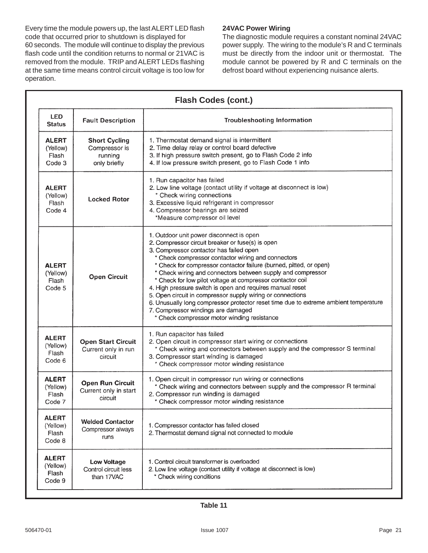Every time the module powers up, the last ALERT LED flash code that occurred prior to shutdown is displayed for 60 seconds. The module will continue to display the previous flash code until the condition returns to normal or 21VAC is removed from the module. TRIP and ALERT LEDs flashing at the same time means control circuit voltage is too low for operation.

### **24VAC Power Wiring**

The diagnostic module requires a constant nominal 24VAC power supply. The wiring to the module's R and C terminals must be directly from the indoor unit or thermostat. The module cannot be powered by R and C terminals on the defrost board without experiencing nuisance alerts.

| <b>Flash Codes (cont.)</b>                  |                                                                  |                                                                                                                                                                                                                                                                                                                                                                                                                                                                                                                                                                                                                                                                                                          |  |  |
|---------------------------------------------|------------------------------------------------------------------|----------------------------------------------------------------------------------------------------------------------------------------------------------------------------------------------------------------------------------------------------------------------------------------------------------------------------------------------------------------------------------------------------------------------------------------------------------------------------------------------------------------------------------------------------------------------------------------------------------------------------------------------------------------------------------------------------------|--|--|
| LED.<br><b>Status</b>                       | <b>Fault Description</b>                                         | <b>Troubleshooting Information</b>                                                                                                                                                                                                                                                                                                                                                                                                                                                                                                                                                                                                                                                                       |  |  |
| <b>ALERT</b><br>(Yellow)<br>Flash<br>Code 3 | <b>Short Cycling</b><br>Compressor is<br>running<br>only briefly | 1. Thermostat demand signal is intermittent<br>2. Time delay relay or control board defective<br>3. If high pressure switch present, go to Flash Code 2 info<br>4. If low pressure switch present, go to Flash Code 1 info                                                                                                                                                                                                                                                                                                                                                                                                                                                                               |  |  |
| <b>ALERT</b><br>(Yellow)<br>Flash<br>Code 4 | <b>Locked Rotor</b>                                              | 1. Run capacitor has failed<br>2. Low line voltage (contact utility if voltage at disconnect is low)<br>* Check wiring connections<br>3. Excessive liquid refrigerant in compressor<br>4. Compressor bearings are seized<br>*Measure compressor oil level                                                                                                                                                                                                                                                                                                                                                                                                                                                |  |  |
| <b>ALERT</b><br>(Yellow)<br>Flash<br>Code 5 | <b>Open Circuit</b>                                              | 1. Outdoor unit power disconnect is open<br>2. Compressor circuit breaker or fuse(s) is open<br>3. Compressor contactor has failed open<br>* Check compressor contactor wiring and connectors<br>* Check for compressor contactor failure (burned, pitted, or open)<br>* Check wiring and connectors between supply and compressor<br>* Check for low pilot voltage at compressor contactor coil<br>4. High pressure switch is open and requires manual reset<br>5. Open circuit in compressor supply wiring or connections<br>6. Unusually long compressor protector reset time due to extreme ambient temperature<br>7. Compressor windings are damaged<br>* Check compressor motor winding resistance |  |  |
| <b>ALERT</b><br>(Yellow)<br>Flash<br>Code 6 | <b>Open Start Circuit</b><br>Current only in run<br>circuit      | 1. Run capacitor has failed<br>2. Open circuit in compressor start wiring or connections<br>* Check wiring and connectors between supply and the compressor S terminal<br>3. Compressor start winding is damaged<br>* Check compressor motor winding resistance                                                                                                                                                                                                                                                                                                                                                                                                                                          |  |  |
| <b>ALERT</b><br>(Yellow)<br>Flash<br>Code 7 | <b>Open Run Circuit</b><br>Current only in start<br>circuit      | 1. Open circuit in compressor run wiring or connections<br>* Check wiring and connectors between supply and the compressor R terminal<br>2. Compressor run winding is damaged<br>* Check compressor motor winding resistance                                                                                                                                                                                                                                                                                                                                                                                                                                                                             |  |  |
| <b>ALERT</b><br>(Yellow)<br>Flash<br>Code 8 | <b>Welded Contactor</b><br>Compressor always<br>runs             | 1. Compressor contactor has failed closed<br>2. Thermostat demand signal not connected to module                                                                                                                                                                                                                                                                                                                                                                                                                                                                                                                                                                                                         |  |  |
| <b>ALERT</b><br>(Yellow)<br>Flash<br>Code 9 | <b>Low Voltage</b><br>Control circuit less<br>than 17VAC         | 1. Control circuit transformer is overloaded<br>2. Low line voltage (contact utility if voltage at disconnect is low)<br>* Check wiring conditions                                                                                                                                                                                                                                                                                                                                                                                                                                                                                                                                                       |  |  |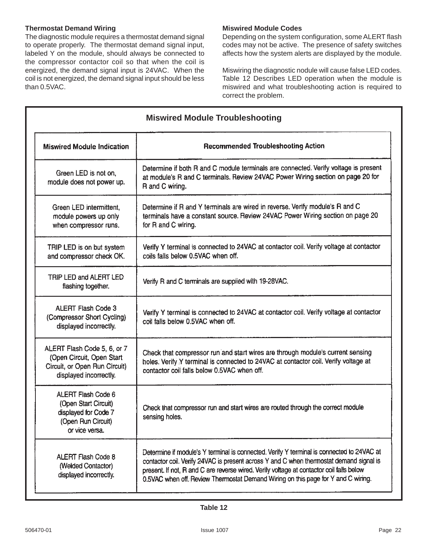### **Thermostat Demand Wiring**

The diagnostic module requires a thermostat demand signal to operate properly. The thermostat demand signal input, labeled Y on the module, should always be connected to the compressor contactor coil so that when the coil is energized, the demand signal input is 24VAC. When the coil is not energized, the demand signal input should be less than 0.5VAC.

### **Miswired Module Codes**

Depending on the system configuration, some ALERT flash codes may not be active. The presence of safety switches affects how the system alerts are displayed by the module.

Miswiring the diagnostic nodule will cause false LED codes. Table 12 Describes LED operation when the module is miswired and what troubleshooting action is required to correct the problem.

| <b>Miswired Module Troubleshooting</b>                                                                              |                                                                                                                                                                                                                                                                                                                                                                       |  |  |  |
|---------------------------------------------------------------------------------------------------------------------|-----------------------------------------------------------------------------------------------------------------------------------------------------------------------------------------------------------------------------------------------------------------------------------------------------------------------------------------------------------------------|--|--|--|
| <b>Miswired Module Indication</b>                                                                                   | <b>Recommended Troubleshooting Action</b>                                                                                                                                                                                                                                                                                                                             |  |  |  |
| Green LED is not on,<br>module does not power up.                                                                   | Determine if both R and C module terminals are connected. Verify voltage is present<br>at module's R and C terminals. Review 24VAC Power Wiring section on page 20 for<br>R and C wiring.                                                                                                                                                                             |  |  |  |
| Green LED intermittent,<br>module powers up only<br>when compressor runs.                                           | Determine if R and Y terminals are wired in reverse. Verify module's R and C<br>terminals have a constant source. Review 24VAC Power Wiring section on page 20<br>for R and C wiring.                                                                                                                                                                                 |  |  |  |
| TRIP LED is on but system<br>and compressor check OK.                                                               | Verify Y terminal is connected to 24VAC at contactor coil. Verify voltage at contactor<br>coils falls below 0.5VAC when off.                                                                                                                                                                                                                                          |  |  |  |
| TRIP LED and ALERT LED<br>flashing together.                                                                        | Verify R and C terminals are supplied with 19-28VAC.                                                                                                                                                                                                                                                                                                                  |  |  |  |
| <b>ALERT Flash Code 3</b><br>(Compressor Short Cycling)<br>displayed incorrectly.                                   | Verify Y terminal is connected to 24VAC at contactor coil. Verify voltage at contactor<br>coil falls below 0.5VAC when off.                                                                                                                                                                                                                                           |  |  |  |
| ALERT Flash Code 5, 6, or 7<br>(Open Circuit, Open Start<br>Circuit, or Open Run Circuit)<br>displayed incorrectly. | Check that compressor run and start wires are through module's current sensing<br>holes. Verify Y terminal is connected to 24VAC at contactor coil. Verify voltage at<br>contactor coil falls below 0.5VAC when off.                                                                                                                                                  |  |  |  |
| ALERT Flash Code 6<br>(Open Start Circuit)<br>displayed for Code 7<br>(Open Run Circuit)<br>or vice versa.          | Check that compressor run and start wires are routed through the correct module<br>sensing holes.                                                                                                                                                                                                                                                                     |  |  |  |
| <b>ALERT Flash Code 8</b><br>(Welded Contactor)<br>displayed incorrectly.                                           | Determine if module's Y terminal is connected. Verify Y terminal is connected to 24VAC at<br>contactor coil. Verify 24VAC is present across Y and C when thermostat demand signal is<br>present. If not, R and C are reverse wired. Verify voltage at contactor coil falls below<br>0.5VAC when off. Review Thermostat Demand Wiring on this page for Y and C wiring. |  |  |  |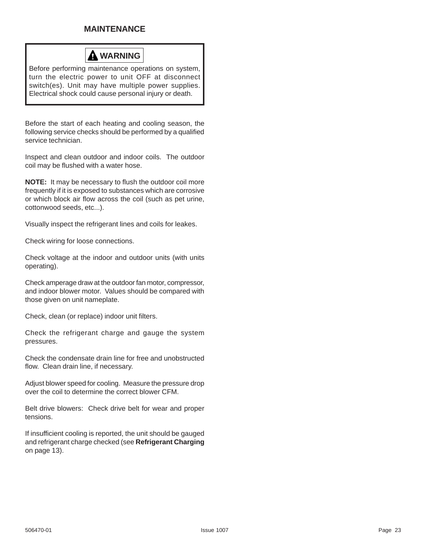### **MAINTENANCE**



Before performing maintenance operations on system, turn the electric power to unit OFF at disconnect switch(es). Unit may have multiple power supplies. Electrical shock could cause personal injury or death.

Before the start of each heating and cooling season, the following service checks should be performed by a qualified service technician.

Inspect and clean outdoor and indoor coils. The outdoor coil may be flushed with a water hose.

**NOTE:** It may be necessary to flush the outdoor coil more frequently if it is exposed to substances which are corrosive or which block air flow across the coil (such as pet urine, cottonwood seeds, etc...).

Visually inspect the refrigerant lines and coils for leakes.

Check wiring for loose connections.

Check voltage at the indoor and outdoor units (with units operating).

Check amperage draw at the outdoor fan motor, compressor, and indoor blower motor. Values should be compared with those given on unit nameplate.

Check, clean (or replace) indoor unit filters.

Check the refrigerant charge and gauge the system pressures.

Check the condensate drain line for free and unobstructed flow. Clean drain line, if necessary.

Adjust blower speed for cooling. Measure the pressure drop over the coil to determine the correct blower CFM.

Belt drive blowers: Check drive belt for wear and proper tensions.

If insufficient cooling is reported, the unit should be gauged and refrigerant charge checked (see **Refrigerant Charging** on page 13).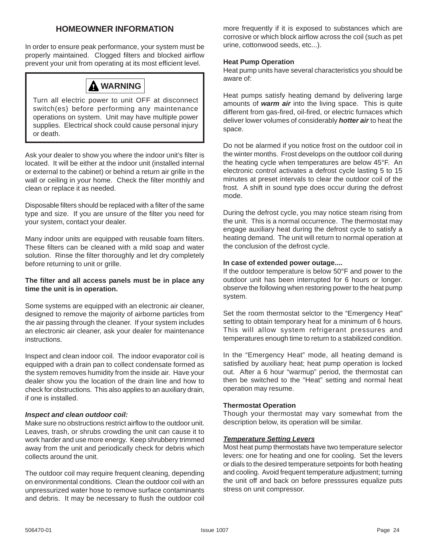### **HOMEOWNER INFORMATION**

In order to ensure peak performance, your system must be properly maintained. Clogged filters and blocked airflow prevent your unit from operating at its most efficient level.

## **WARNING**

Turn all electric power to unit OFF at disconnect switch(es) before performing any maintenance operations on system. Unit may have multiple power supplies. Electrical shock could cause personal injury or death.

Ask your dealer to show you where the indoor unit's filter is located. It will be either at the indoor unit (installed internal or external to the cabinet) or behind a return air grille in the wall or ceiling in your home. Check the filter monthly and clean or replace it as needed.

Disposable filters should be replaced with a filter of the same type and size. If you are unsure of the filter you need for your system, contact your dealer.

Many indoor units are equipped with reusable foam filters. These filters can be cleaned with a mild soap and water solution. Rinse the filter thoroughly and let dry completely before returning to unit or grille.

### **The filter and all access panels must be in place any time the unit is in operation.**

Some systems are equipped with an electronic air cleaner, designed to remove the majority of airborne particles from the air passing through the cleaner. If your system includes an electronic air cleaner, ask your dealer for maintenance instructions.

Inspect and clean indoor coil. The indoor evaporator coil is equipped with a drain pan to collect condensate formed as the system removes humidity from the inside air. Have your dealer show you the location of the drain line and how to check for obstructions. This also applies to an auxiliary drain, if one is installed.

### *Inspect and clean outdoor coil:*

Make sure no obstructions restrict airflow to the outdoor unit. Leaves, trash, or shrubs crowding the unit can cause it to work harder and use more energy. Keep shrubbery trimmed away from the unit and periodically check for debris which collects around the unit.

The outdoor coil may require frequent cleaning, depending on environmental conditions. Clean the outdoor coil with an unpressurized water hose to remove surface contaminants and debris. It may be necessary to flush the outdoor coil more frequently if it is exposed to substances which are corrosive or which block airflow across the coil (such as pet urine, cottonwood seeds, etc...).

### **Heat Pump Operation**

Heat pump units have several characteristics you should be aware of:

Heat pumps satisfy heating demand by delivering large amounts of *warm air* into the living space. This is quite different from gas-fired, oil-fired, or electric furnaces which deliver lower volumes of considerably *hotter air* to heat the space.

Do not be alarmed if you notice frost on the outdoor coil in the winter months. Frost develops on the outdoor coil during the heating cycle when temperatures are below 45°F. An electronic control activates a defrost cycle lasting 5 to 15 minutes at preset intervals to clear the outdoor coil of the frost. A shift in sound type does occur during the defrost mode.

During the defrost cycle, you may notice steam rising from the unit. This is a normal occurrence. The thermostat may engage auxiliary heat during the defrost cycle to satisfy a heating demand. The unit will return to normal operation at the conclusion of the defrost cycle.

### **In case of extended power outage....**

If the outdoor temperature is below 50°F and power to the outdoor unit has been interrupted for 6 hours or longer. observe the following when restoring power to the heat pump system.

Set the room thermostat selctor to the "Emergency Heat" setting to obtain temporary heat for a minimum of 6 hours. This will allow system refrigerant pressures and temperatures enough time to return to a stabilized condition.

In the "Emergency Heat" mode, all heating demand is satisfied by auxiliary heat; heat pump operation is locked out. After a 6 hour "warmup" period, the thermostat can then be switched to the "Heat" setting and normal heat operation may resume.

### **Thermostat Operation**

Though your thermostat may vary somewhat from the description below, its operation will be similar.

### *Temperature Setting Levers*

Most heat pump thermostats have two temperature selector levers: one for heating and one for cooling. Set the levers or dials to the desired temperature setpoints for both heating and cooling. Avoid frequent temperature adjustment; turning the unit off and back on before presssures equalize puts stress on unit compressor.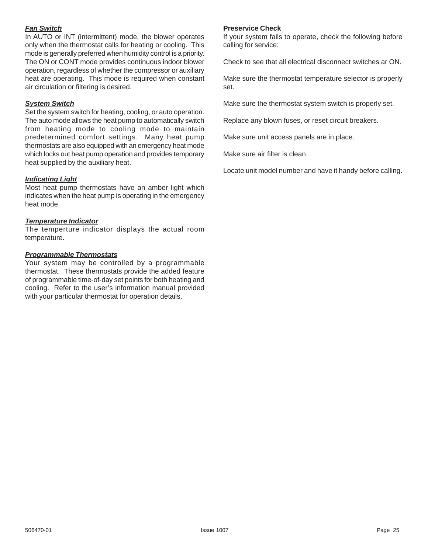### *Fan Switch*

In AUTO or INT (intermittent) mode, the blower operates only when the thermostat calls for heating or cooling. This mode is generally preferred when humidity control is a priority. The ON or CONT mode provides continuous indoor blower operation, regardless of whether the compressor or auxiliary heat are operating. This mode is required when constant air circulation or filtering is desired.

### *System Switch*

Set the system switch for heating, cooling, or auto operation. The auto mode allows the heat pump to automatically switch from heating mode to cooling mode to maintain predetermined comfort settings. Many heat pump thermostats are also equipped with an emergency heat mode which locks out heat pump operation and provides temporary heat supplied by the auxiliary heat.

### *Indicating Light*

Most heat pump thermostats have an amber light which indicates when the heat pump is operating in the emergency heat mode.

### *Temperature Indicator*

The temperture indicator displays the actual room temperature.

### *Programmable Thermostats*

Your system may be controlled by a programmable thermostat. These thermostats provide the added feature of programmable time-of-day set points for both heating and cooling. Refer to the user's information manual provided with your particular thermostat for operation details.

### **Preservice Check**

If your system fails to operate, check the following before calling for service:

Check to see that all electrical disconnect switches ar ON.

Make sure the thermostat temperature selector is properly set.

Make sure the thermostat system switch is properly set.

Replace any blown fuses, or reset circuit breakers.

Make sure unit access panels are in place.

Make sure air filter is clean.

Locate unit model number and have it handy before calling.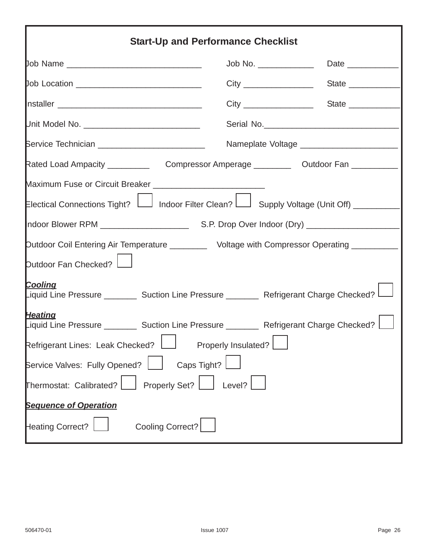| <b>Start-Up and Performance Checklist</b>                                                                                                                                                                                          |        |                                              |  |  |  |
|------------------------------------------------------------------------------------------------------------------------------------------------------------------------------------------------------------------------------------|--------|----------------------------------------------|--|--|--|
|                                                                                                                                                                                                                                    |        |                                              |  |  |  |
| Job Location _______________________________                                                                                                                                                                                       |        |                                              |  |  |  |
|                                                                                                                                                                                                                                    |        |                                              |  |  |  |
| Unit Model No. __________________________________                                                                                                                                                                                  |        | Serial No.                                   |  |  |  |
| Service Technician ____________________________                                                                                                                                                                                    |        | Nameplate Voltage __________________________ |  |  |  |
|                                                                                                                                                                                                                                    |        |                                              |  |  |  |
| Electical Connections Tight?     Indoor Filter Clean?   Supply Voltage (Unit Off) _ _______                                                                                                                                        |        |                                              |  |  |  |
|                                                                                                                                                                                                                                    |        |                                              |  |  |  |
| Dutdoor Coil Entering Air Temperature ___________ Voltage with Compressor Operating __________<br>Dutdoor Fan Checked?                                                                                                             |        |                                              |  |  |  |
| <u>Cooling</u><br>Liquid Line Pressure __________ Suction Line Pressure _________ Refrigerant Charge Checked? L___                                                                                                                 |        |                                              |  |  |  |
| <b>Heating</b><br>Liquid Line Pressure __________ Suction Line Pressure _________ Refrigerant Charge Checked? L<br>the contract of the contract of the contract of the contract of the contract of the contract of the contract of |        |                                              |  |  |  |
| Properly Insulated?<br>Refrigerant Lines: Leak Checked?                                                                                                                                                                            |        |                                              |  |  |  |
| Caps Tight?<br>Service Valves: Fully Opened?                                                                                                                                                                                       |        |                                              |  |  |  |
| <b>Properly Set?</b><br>Thermostat: Calibrated?                                                                                                                                                                                    | Level? |                                              |  |  |  |
| <b>Sequence of Operation</b>                                                                                                                                                                                                       |        |                                              |  |  |  |
| <b>Cooling Correct?</b><br>Heating Correct?                                                                                                                                                                                        |        |                                              |  |  |  |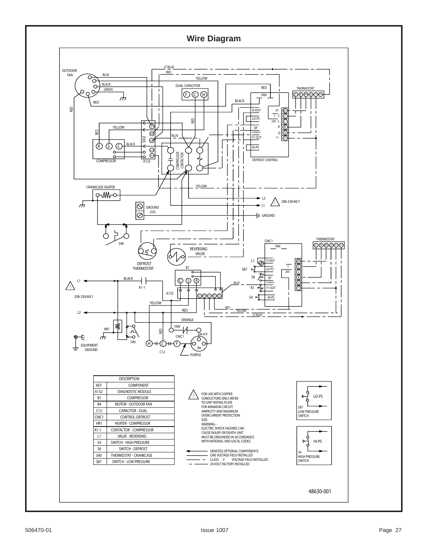### **Wire Diagram**